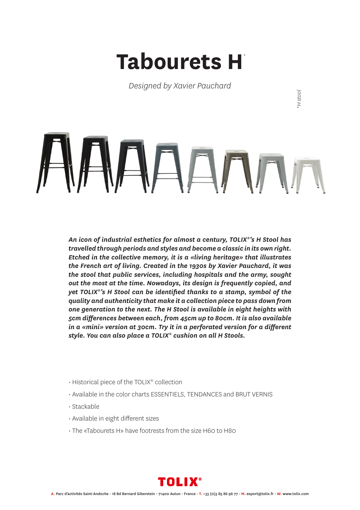## **Tabourets H** *\**

*Designed by Xavier Pauchard*

*\*H stool*

*An icon of industrial esthetics for almost a century, TOLIX®'s H Stool has travelled through periods and styles and become a classic in its own right. Etched in the collective memory, it is a «living heritage» that illustrates the French art of living. Created in the 1930s by Xavier Pauchard, it was the stool that public services, including hospitals and the army, sought out the most at the time. Nowadays, its design is frequently copied, and yet TOLIX®'s H Stool can be identified thanks to a stamp, symbol of the quality and authenticity that make it a collection piece to pass down from one generation to the next. The H Stool is available in eight heights with 5cm differences between each, from 45cm up to 80cm. It is also available in a «mini» version at 30cm. Try it in a perforated version for a different style. You can also place a TOLIX® cushion on all H Stools.*

- Historical piece of the TOLIX® collection
- Available in the color charts ESSENTIELS, TENDANCES and BRUT VERNIS
- Stackable
- Available in eight different sizes
- The «Tabourets H» have footrests from the size H60 to H80